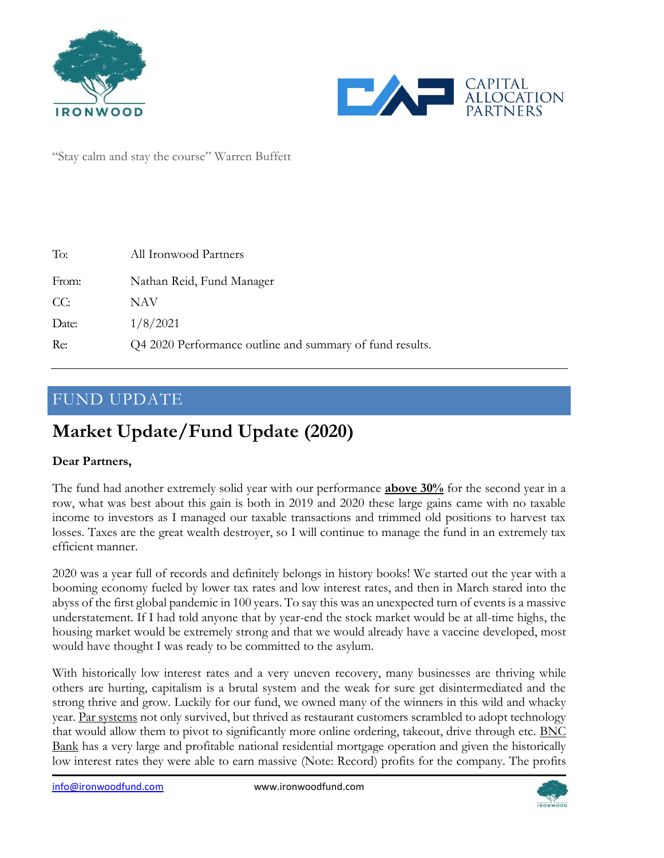



"Stay calm and stay the course" Warren Buffett

| Nathan Reid, Fund Manager<br>From:                              |  |
|-----------------------------------------------------------------|--|
| CC:<br>NAV                                                      |  |
| 1/8/2021<br>Date:                                               |  |
| Re:<br>Q4 2020 Performance outline and summary of fund results. |  |

### FUND UPDATE

# **Market Update/Fund Update (2020)**

#### **Dear Partners,**

The fund had another extremely solid year with our performance **above 30%** for the second year in a row, what was best about this gain is both in 2019 and 2020 these large gains came with no taxable income to investors as I managed our taxable transactions and trimmed old positions to harvest tax losses. Taxes are the great wealth destroyer, so I will continue to manage the fund in an extremely tax efficient manner.

2020 was a year full of records and definitely belongs in history books! We started out the year with a booming economy fueled by lower tax rates and low interest rates, and then in March stared into the abyss of the first global pandemic in 100 years. To say this was an unexpected turn of events is a massive understatement. If I had told anyone that by year-end the stock market would be at all-time highs, the housing market would be extremely strong and that we would already have a vaccine developed, most would have thought I was ready to be committed to the asylum.

With historically low interest rates and a very uneven recovery, many businesses are thriving while others are hurting, capitalism is a brutal system and the weak for sure get disintermediated and the strong thrive and grow. Luckily for our fund, we owned many of the winners in this wild and whacky year. Par systems not only survived, but thrived as restaurant customers scrambled to adopt technology that would allow them to pivot to significantly more online ordering, takeout, drive through etc. BNC Bank has a very large and profitable national residential mortgage operation and given the historically low interest rates they were able to earn massive (Note: Record) profits for the company. The profits

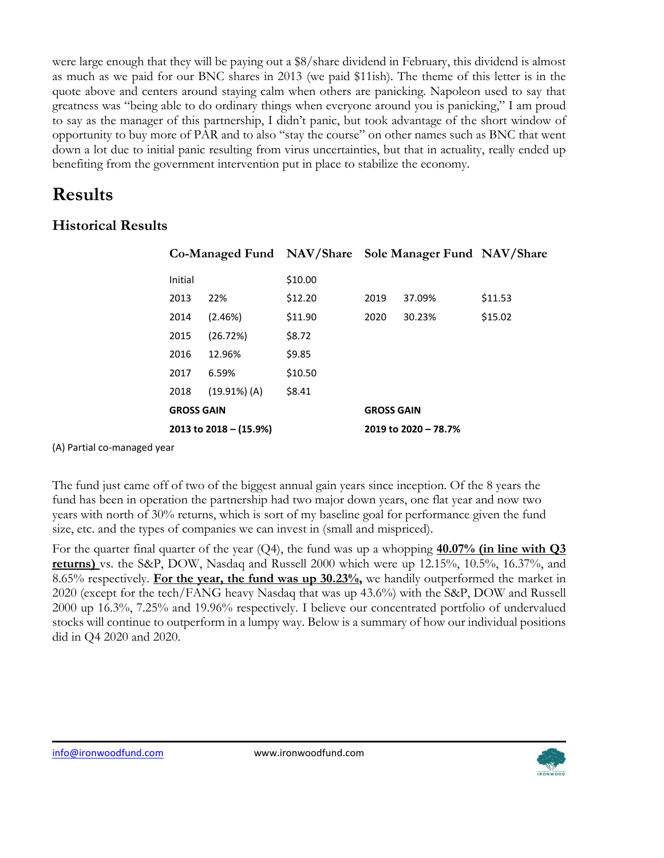were large enough that they will be paying out a \$8/share dividend in February, this dividend is almost as much as we paid for our BNC shares in 2013 (we paid \$11ish). The theme of this letter is in the quote above and centers around staying calm when others are panicking. Napoleon used to say that greatness was "being able to do ordinary things when everyone around you is panicking," I am proud to say as the manager of this partnership, I didn't panic, but took advantage of the short window of opportunity to buy more of PAR and to also "stay the course" on other names such as BNC that went down a lot due to initial panic resulting from virus uncertainties, but that in actuality, really ended up benefiting from the government intervention put in place to stabilize the economy.

## **Results**

### **Historical Results**

|                   |                          |         | Co-Managed Fund NAV/Share Sole Manager Fund NAV/Share |        |         |
|-------------------|--------------------------|---------|-------------------------------------------------------|--------|---------|
| Initial           |                          | \$10.00 |                                                       |        |         |
| 2013              | 22%                      | \$12.20 | 2019                                                  | 37.09% | \$11.53 |
| 2014              | (2.46%)                  | \$11.90 | 2020                                                  | 30.23% | \$15.02 |
| 2015              | (26.72%)                 | \$8.72  |                                                       |        |         |
| 2016              | 12.96%                   | \$9.85  |                                                       |        |         |
| 2017              | 6.59%                    | \$10.50 |                                                       |        |         |
| 2018              | $(19.91\%)$ (A)          | \$8.41  |                                                       |        |         |
| <b>GROSS GAIN</b> |                          |         | <b>GROSS GAIN</b>                                     |        |         |
|                   | 2013 to $2018 - (15.9%)$ |         | 2019 to 2020 - 78.7%                                  |        |         |

(A) Partial co-managed year

The fund just came off of two of the biggest annual gain years since inception. Of the 8 years the fund has been in operation the partnership had two major down years, one flat year and now two years with north of 30% returns, which is sort of my baseline goal for performance given the fund size, etc. and the types of companies we can invest in (small and mispriced).

For the quarter final quarter of the year (Q4), the fund was up a whopping **40.07% (in line with Q3 returns)** vs. the S&P, DOW, Nasdaq and Russell 2000 which were up 12.15%, 10.5%, 16.37%, and 8.65% respectively. **For the year, the fund was up 30.23%,** we handily outperformed the market in 2020 (except for the tech/FANG heavy Nasdaq that was up 43.6%) with the S&P, DOW and Russell 2000 up 16.3%, 7.25% and 19.96% respectively. I believe our concentrated portfolio of undervalued stocks will continue to outperform in a lumpy way. Below is a summary of how our individual positions did in Q4 2020 and 2020.

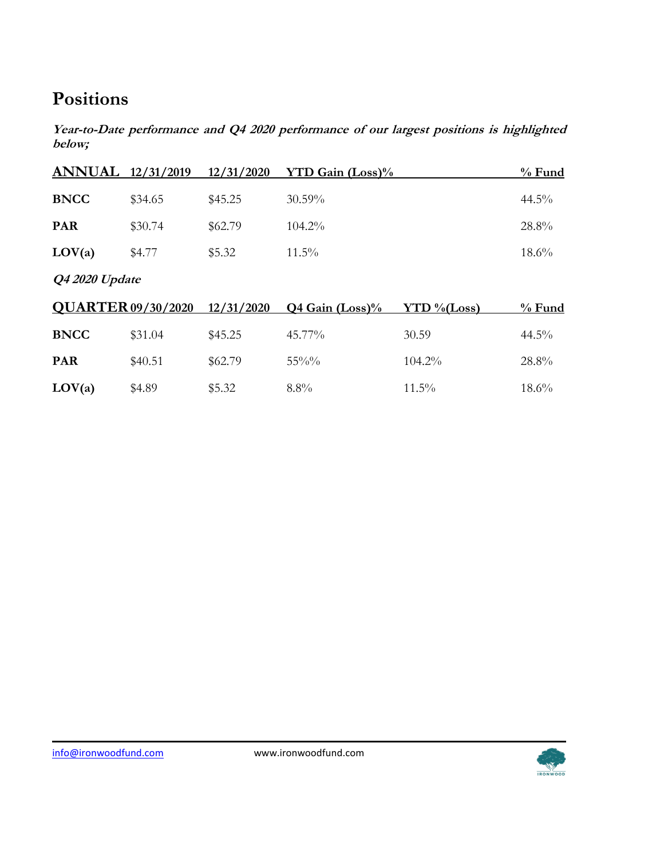## **Positions**

**Year-to-Date performance and Q4 2020 performance of our largest positions is highlighted below;**

| <b>ANNUAL</b>  | 12/31/2019                | 12/31/2020 | <b>YTD Gain (Loss)%</b> |                | $%$ Fund |  |  |  |  |
|----------------|---------------------------|------------|-------------------------|----------------|----------|--|--|--|--|
| <b>BNCC</b>    | \$34.65                   | \$45.25    | 30.59%                  |                | 44.5%    |  |  |  |  |
| <b>PAR</b>     | \$30.74                   | \$62.79    | 104.2%                  |                | 28.8%    |  |  |  |  |
| LOV(a)         | \$4.77                    | \$5.32     | $11.5\%$                |                | 18.6%    |  |  |  |  |
| Q4 2020 Update |                           |            |                         |                |          |  |  |  |  |
|                | <b>QUARTER 09/30/2020</b> | 12/31/2020 | Q4 Gain (Loss)%         | $YTD\% (Loss)$ | $%$ Fund |  |  |  |  |
| <b>BNCC</b>    | \$31.04                   | \$45.25    | 45.77%                  | 30.59          | 44.5%    |  |  |  |  |
| <b>PAR</b>     | \$40.51                   | \$62.79    | $55\%%$                 | 104.2%         | 28.8%    |  |  |  |  |
| LOV(a)         | \$4.89                    | \$5.32     | $8.8\%$                 | $11.5\%$       | 18.6%    |  |  |  |  |

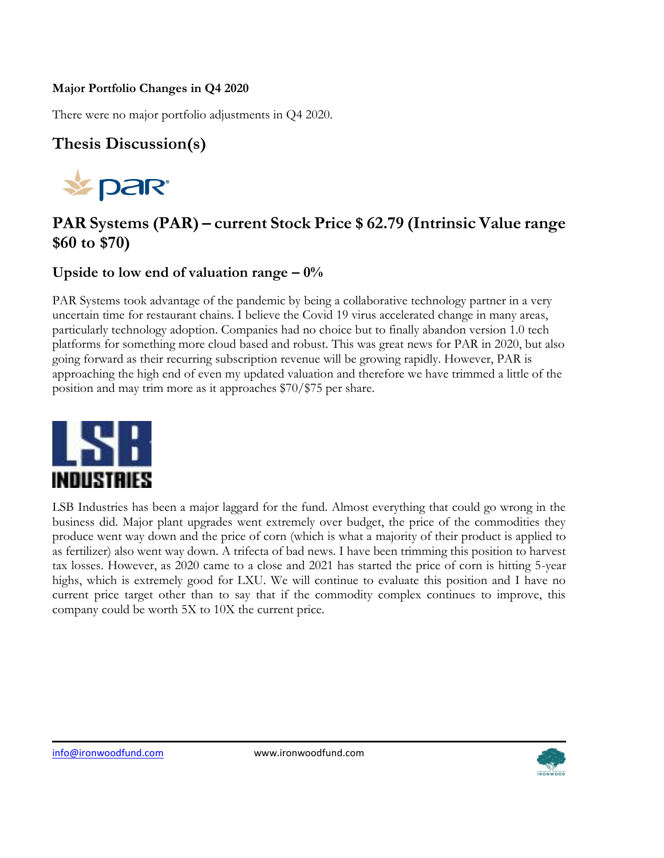#### **Major Portfolio Changes in Q4 2020**

There were no major portfolio adjustments in Q4 2020.

## **Thesis Discussion(s)**



## **PAR Systems (PAR) – current Stock Price \$ 62.79 (Intrinsic Value range \$60 to \$70)**

### **Upside to low end of valuation range – 0%**

PAR Systems took advantage of the pandemic by being a collaborative technology partner in a very uncertain time for restaurant chains. I believe the Covid 19 virus accelerated change in many areas, particularly technology adoption. Companies had no choice but to finally abandon version 1.0 tech platforms for something more cloud based and robust. This was great news for PAR in 2020, but also going forward as their recurring subscription revenue will be growing rapidly. However, PAR is approaching the high end of even my updated valuation and therefore we have trimmed a little of the position and may trim more as it approaches \$70/\$75 per share.



LSB Industries has been a major laggard for the fund. Almost everything that could go wrong in the business did. Major plant upgrades went extremely over budget, the price of the commodities they produce went way down and the price of corn (which is what a majority of their product is applied to as fertilizer) also went way down. A trifecta of bad news. I have been trimming this position to harvest tax losses. However, as 2020 came to a close and 2021 has started the price of corn is hitting 5-year highs, which is extremely good for LXU. We will continue to evaluate this position and I have no current price target other than to say that if the commodity complex continues to improve, this company could be worth 5X to 10X the current price.

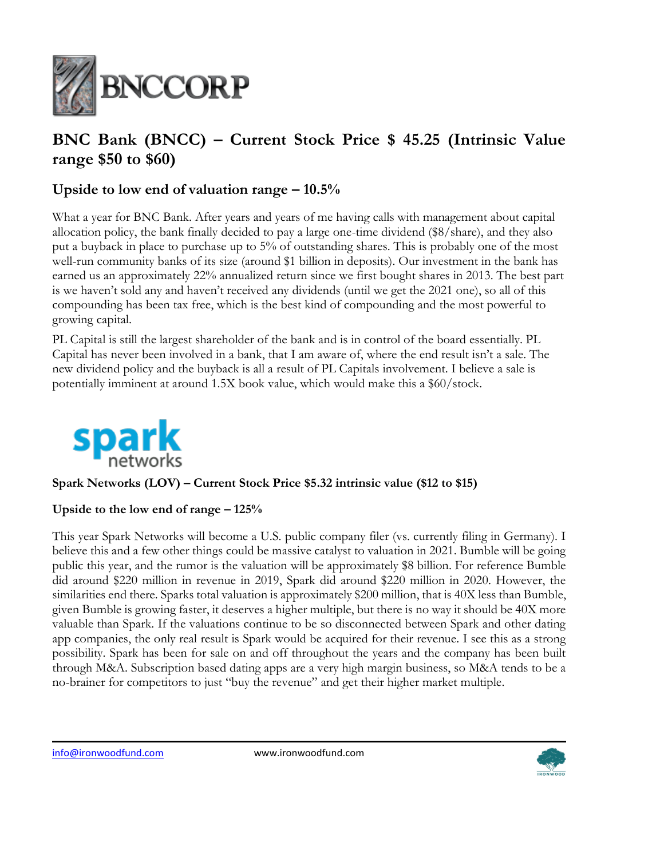

## **BNC Bank (BNCC) – Current Stock Price \$ 45.25 (Intrinsic Value range \$50 to \$60)**

### **Upside to low end of valuation range – 10.5%**

What a year for BNC Bank. After years and years of me having calls with management about capital allocation policy, the bank finally decided to pay a large one-time dividend (\$8/share), and they also put a buyback in place to purchase up to 5% of outstanding shares. This is probably one of the most well-run community banks of its size (around \$1 billion in deposits). Our investment in the bank has earned us an approximately 22% annualized return since we first bought shares in 2013. The best part is we haven't sold any and haven't received any dividends (until we get the 2021 one), so all of this compounding has been tax free, which is the best kind of compounding and the most powerful to growing capital.

PL Capital is still the largest shareholder of the bank and is in control of the board essentially. PL Capital has never been involved in a bank, that I am aware of, where the end result isn't a sale. The new dividend policy and the buyback is all a result of PL Capitals involvement. I believe a sale is potentially imminent at around 1.5X book value, which would make this a \$60/stock.



#### **Spark Networks (LOV) – Current Stock Price \$5.32 intrinsic value (\$12 to \$15)**

#### **Upside to the low end of range – 125%**

This year Spark Networks will become a U.S. public company filer (vs. currently filing in Germany). I believe this and a few other things could be massive catalyst to valuation in 2021. Bumble will be going public this year, and the rumor is the valuation will be approximately \$8 billion. For reference Bumble did around \$220 million in revenue in 2019, Spark did around \$220 million in 2020. However, the similarities end there. Sparks total valuation is approximately \$200 million, that is 40X less than Bumble, given Bumble is growing faster, it deserves a higher multiple, but there is no way it should be 40X more valuable than Spark. If the valuations continue to be so disconnected between Spark and other dating app companies, the only real result is Spark would be acquired for their revenue. I see this as a strong possibility. Spark has been for sale on and off throughout the years and the company has been built through M&A. Subscription based dating apps are a very high margin business, so M&A tends to be a no-brainer for competitors to just "buy the revenue" and get their higher market multiple.

[info@ironwoodfund.com](mailto:info@ironwoodfund.com) www.ironwoodfund.com